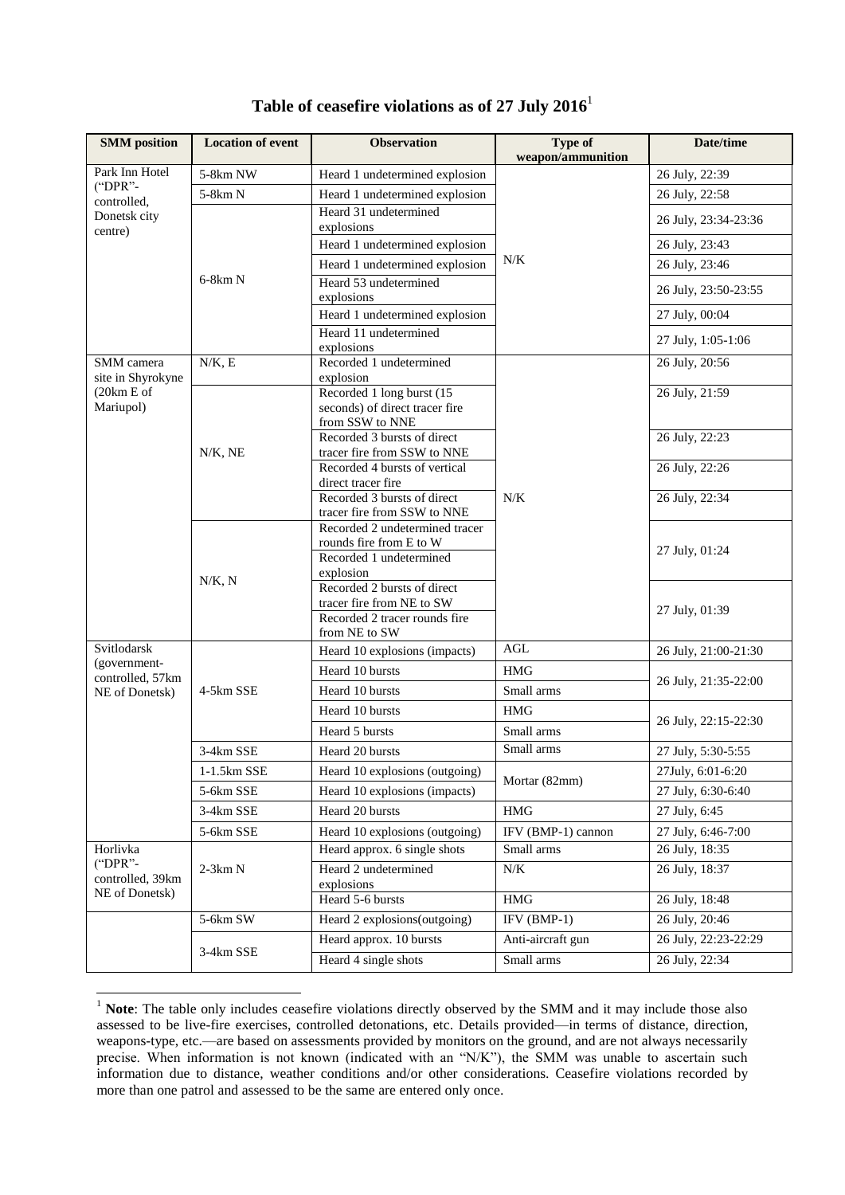| <b>SMM</b> position                                               | <b>Location of event</b> | <b>Observation</b>                                                                                | <b>Type of</b><br>weapon/ammunition | Date/time            |
|-------------------------------------------------------------------|--------------------------|---------------------------------------------------------------------------------------------------|-------------------------------------|----------------------|
| Park Inn Hotel                                                    | 5-8km NW                 | Heard 1 undetermined explosion                                                                    | N/K                                 | 26 July, 22:39       |
| ("DPR"-<br>controlled,<br>Donetsk city<br>centre)                 | 5-8km N                  | Heard 1 undetermined explosion                                                                    |                                     | 26 July, 22:58       |
|                                                                   | $6-8km N$                | Heard 31 undetermined<br>explosions                                                               |                                     | 26 July, 23:34-23:36 |
|                                                                   |                          | Heard 1 undetermined explosion                                                                    |                                     | 26 July, 23:43       |
|                                                                   |                          | Heard 1 undetermined explosion                                                                    |                                     | 26 July, 23:46       |
|                                                                   |                          | Heard 53 undetermined<br>explosions                                                               |                                     | 26 July, 23:50-23:55 |
|                                                                   |                          | Heard 1 undetermined explosion                                                                    |                                     | 27 July, 00:04       |
|                                                                   |                          | Heard 11 undetermined<br>explosions                                                               |                                     | 27 July, 1:05-1:06   |
| SMM camera<br>site in Shyrokyne<br>(20km E of<br>Mariupol)        | N/K, E                   | Recorded 1 undetermined<br>explosion                                                              |                                     | 26 July, 20:56       |
|                                                                   | $N/K$ , NE               | Recorded 1 long burst (15<br>seconds) of direct tracer fire<br>from SSW to NNE                    | N/K                                 | 26 July, 21:59       |
|                                                                   |                          | Recorded 3 bursts of direct<br>tracer fire from SSW to NNE                                        |                                     | 26 July, 22:23       |
|                                                                   |                          | Recorded 4 bursts of vertical<br>direct tracer fire                                               |                                     | 26 July, 22:26       |
|                                                                   |                          | Recorded 3 bursts of direct<br>tracer fire from SSW to NNE                                        |                                     | 26 July, 22:34       |
|                                                                   | N/K, N                   | Recorded 2 undetermined tracer<br>rounds fire from E to W<br>Recorded 1 undetermined<br>explosion |                                     | 27 July, 01:24       |
|                                                                   |                          | Recorded 2 bursts of direct<br>tracer fire from NE to SW                                          |                                     | 27 July, 01:39       |
|                                                                   |                          | Recorded 2 tracer rounds fire<br>from NE to SW                                                    |                                     |                      |
| Svitlodarsk<br>(government-<br>controlled, 57km<br>NE of Donetsk) | 4-5km SSE                | Heard 10 explosions (impacts)                                                                     | AGL                                 | 26 July, 21:00-21:30 |
|                                                                   |                          | Heard 10 bursts                                                                                   | <b>HMG</b>                          | 26 July, 21:35-22:00 |
|                                                                   |                          | Heard 10 bursts                                                                                   | Small arms                          |                      |
|                                                                   |                          | Heard 10 bursts                                                                                   | <b>HMG</b>                          | 26 July, 22:15-22:30 |
|                                                                   |                          | Heard 5 bursts                                                                                    | Small arms                          |                      |
|                                                                   | 3-4km SSE                | Heard 20 bursts                                                                                   | Small arms                          | 27 July, 5:30-5:55   |
|                                                                   | 1-1.5km SSE              | Heard 10 explosions (outgoing)                                                                    |                                     | 27July, 6:01-6:20    |
|                                                                   | 5-6km SSE                | Heard 10 explosions (impacts)                                                                     | Mortar (82mm)                       | 27 July, 6:30-6:40   |
|                                                                   | 3-4km SSE                | Heard 20 bursts                                                                                   | <b>HMG</b>                          | 27 July, 6:45        |
|                                                                   | 5-6km SSE                | Heard 10 explosions (outgoing)                                                                    | IFV (BMP-1) cannon                  | 27 July, 6:46-7:00   |
| Horlivka<br>("DPR"-<br>controlled, 39km<br>NE of Donetsk)         | $2-3km N$                | Heard approx. 6 single shots                                                                      | Small arms                          | 26 July, 18:35       |
|                                                                   |                          | Heard 2 undetermined<br>explosions                                                                | N/K                                 | 26 July, 18:37       |
|                                                                   |                          | Heard 5-6 bursts                                                                                  | $\rm{HMG}$                          | 26 July, 18:48       |
|                                                                   | $5-6km$ SW               | Heard 2 explosions(outgoing)                                                                      | $IFV(BMP-1)$                        | 26 July, 20:46       |
|                                                                   | 3-4km SSE                | Heard approx. 10 bursts                                                                           | Anti-aircraft gun                   | 26 July, 22:23-22:29 |
|                                                                   |                          | Heard 4 single shots                                                                              | Small arms                          | 26 July, 22:34       |

## **Table of ceasefire violations as of 27 July 2016**<sup>1</sup>

 $\overline{a}$ 

<sup>&</sup>lt;sup>1</sup> **Note**: The table only includes ceasefire violations directly observed by the SMM and it may include those also assessed to be live-fire exercises, controlled detonations, etc. Details provided—in terms of distance, direction, weapons-type, etc.—are based on assessments provided by monitors on the ground, and are not always necessarily precise. When information is not known (indicated with an "N/K"), the SMM was unable to ascertain such information due to distance, weather conditions and/or other considerations. Ceasefire violations recorded by more than one patrol and assessed to be the same are entered only once.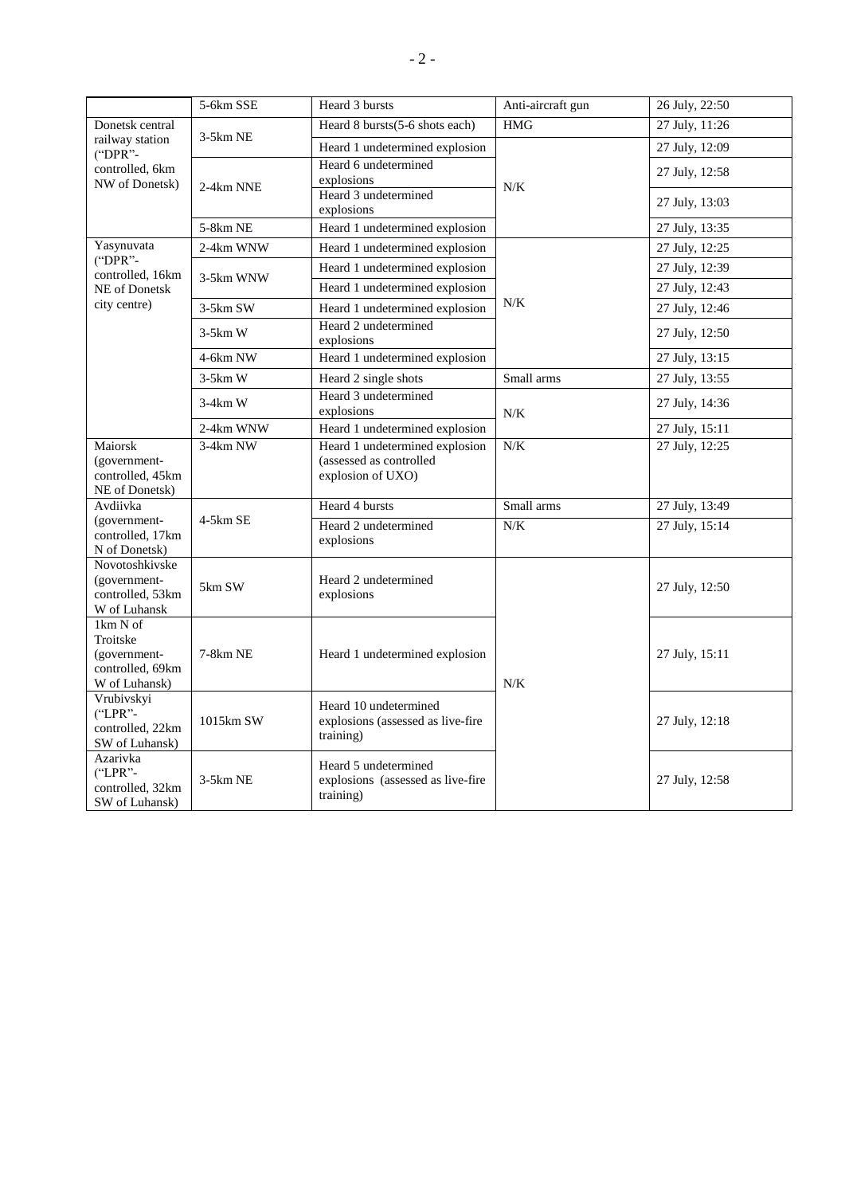|                                                                                                                                                                                                          | 5-6km SSE  | Heard 3 bursts                                                                 | Anti-aircraft gun | 26 July, 22:50 |
|----------------------------------------------------------------------------------------------------------------------------------------------------------------------------------------------------------|------------|--------------------------------------------------------------------------------|-------------------|----------------|
| Donetsk central<br>railway station<br>("DPR"-<br>controlled, 6km<br>NW of Donetsk)                                                                                                                       | $3-5km$ NE | Heard 8 bursts(5-6 shots each)                                                 | <b>HMG</b>        | 27 July, 11:26 |
|                                                                                                                                                                                                          |            | Heard 1 undetermined explosion                                                 | N/K               | 27 July, 12:09 |
|                                                                                                                                                                                                          | 2-4km NNE  | Heard 6 undetermined<br>explosions                                             |                   | 27 July, 12:58 |
|                                                                                                                                                                                                          |            | Heard 3 undetermined<br>explosions                                             |                   | 27 July, 13:03 |
|                                                                                                                                                                                                          | 5-8km NE   | Heard 1 undetermined explosion                                                 |                   | 27 July, 13:35 |
| Yasynuvata<br>("DPR"-<br>controlled, 16km<br>NE of Donetsk<br>city centre)                                                                                                                               | 2-4km WNW  | Heard 1 undetermined explosion                                                 | N/K               | 27 July, 12:25 |
|                                                                                                                                                                                                          | 3-5km WNW  | Heard 1 undetermined explosion                                                 |                   | 27 July, 12:39 |
|                                                                                                                                                                                                          |            | Heard 1 undetermined explosion                                                 |                   | 27 July, 12:43 |
|                                                                                                                                                                                                          | 3-5km SW   | Heard 1 undetermined explosion                                                 |                   | 27 July, 12:46 |
|                                                                                                                                                                                                          | $3-5km$ W  | Heard 2 undetermined<br>explosions                                             |                   | 27 July, 12:50 |
|                                                                                                                                                                                                          | 4-6km NW   | Heard 1 undetermined explosion                                                 |                   | 27 July, 13:15 |
|                                                                                                                                                                                                          | $3-5km$ W  | Heard 2 single shots                                                           | Small arms        | 27 July, 13:55 |
|                                                                                                                                                                                                          | $3-4km$ W  | Heard 3 undetermined<br>explosions                                             | N/K               | 27 July, 14:36 |
|                                                                                                                                                                                                          | 2-4km WNW  | Heard 1 undetermined explosion                                                 |                   | 27 July, 15:11 |
| Maiorsk<br>(government-<br>controlled, 45km<br>NE of Donetsk)                                                                                                                                            | 3-4km NW   | Heard 1 undetermined explosion<br>(assessed as controlled<br>explosion of UXO) | N/K               | 27 July, 12:25 |
| Avdiivka<br>(government-<br>controlled, 17km<br>N of Donetsk)                                                                                                                                            | $4-5km$ SE | Heard 4 bursts                                                                 | Small arms        | 27 July, 13:49 |
|                                                                                                                                                                                                          |            | Heard 2 undetermined<br>explosions                                             | N/K               | 27 July, 15:14 |
| Novotoshkivske<br>(government-<br>controlled, 53km<br>W of Luhansk                                                                                                                                       | 5km SW     | Heard 2 undetermined<br>explosions                                             |                   | 27 July, 12:50 |
| 1km N of<br>Troitske<br>(government-<br>controlled, 69km<br>W of Luhansk)<br>Vrubivskyi<br>("LPR"-<br>controlled, 22km<br>SW of Luhansk)<br>Azarivka<br>$("LPR" -$<br>controlled, 32km<br>SW of Luhansk) | 7-8km NE   | Heard 1 undetermined explosion                                                 | N/K               | 27 July, 15:11 |
|                                                                                                                                                                                                          | 1015km SW  | Heard 10 undetermined<br>explosions (assessed as live-fire<br>training)        |                   | 27 July, 12:18 |
|                                                                                                                                                                                                          | $3-5km$ NE | Heard 5 undetermined<br>explosions (assessed as live-fire<br>training)         |                   | 27 July, 12:58 |